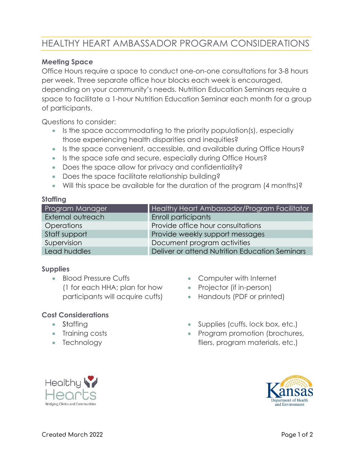# HEALTHY HEART AMBASSADOR PROGRAM CONSIDERATIONS

## **Meeting Space**

Office Hours require a space to conduct one-on-one consultations for 3-8 hours per week. Three separate office hour blocks each week is encouraged, depending on your community's needs. Nutrition Education Seminars require a space to facilitate a 1-hour Nutrition Education Seminar each month for a group of participants.

Questions to consider:

- Is the space accommodating to the priority population(s), especially those experiencing health disparities and inequities?
- Is the space convenient, accessible, and available during Office Hours?
- Is the space safe and secure, especially during Office Hours?
- Does the space allow for privacy and confidentiality?
- Does the space facilitate relationship building?
- Will this space be available for the duration of the program (4 months)?

#### **Staffing**

| Program Manager   | Healthy Heart Ambassador/Program Facilitator   |
|-------------------|------------------------------------------------|
| External outreach | Enroll participants                            |
| <b>Operations</b> | Provide office hour consultations              |
| Staff support     | Provide weekly support messages                |
| Supervision       | Document program activities                    |
| Lead huddles      | Deliver or attend Nutrition Education Seminars |

### **Supplies**

• Blood Pressure Cuffs (1 for each HHA; plan for how participants will acquire cuffs)

## **Cost Considerations**

- Staffing
- Training costs
- Technology
- Computer with Internet
- Projector (if in-person)
- Handouts (PDF or printed)
- Supplies (cuffs, lock box, etc.)
- Program promotion (brochures, fliers, program materials, etc.)